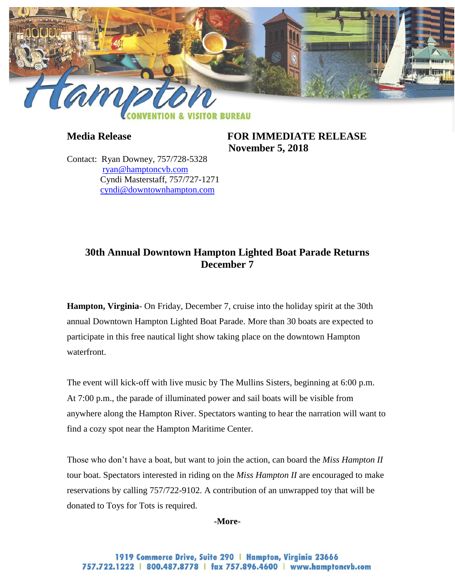

**Media Release FOR IMMEDIATE RELEASE November 5, 2018**

Contact: Ryan Downey, 757/728-5328 [ryan@hamptoncvb.com](mailto:ryan@hamptoncvb.com) Cyndi Masterstaff, 757/727-1271 [cyndi@downtownhampton.com](mailto:cyndi@downtownhampton.com)

## **30th Annual Downtown Hampton Lighted Boat Parade Returns December 7**

**Hampton, Virginia**- On Friday, December 7, cruise into the holiday spirit at the 30th annual Downtown Hampton Lighted Boat Parade. More than 30 boats are expected to participate in this free nautical light show taking place on the downtown Hampton waterfront.

The event will kick-off with live music by The Mullins Sisters, beginning at 6:00 p.m. At 7:00 p.m., the parade of illuminated power and sail boats will be visible from anywhere along the Hampton River. Spectators wanting to hear the narration will want to find a cozy spot near the Hampton Maritime Center.

Those who don't have a boat, but want to join the action, can board the *Miss Hampton II* tour boat. Spectators interested in riding on the *Miss Hampton II* are encouraged to make reservations by calling 757/722-9102. A contribution of an unwrapped toy that will be donated to Toys for Tots is required.

#### **-More-**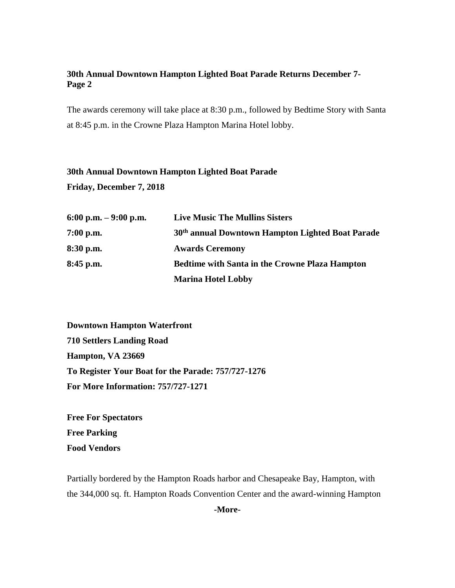## **30th Annual Downtown Hampton Lighted Boat Parade Returns December 7- Page 2**

The awards ceremony will take place at 8:30 p.m., followed by Bedtime Story with Santa at 8:45 p.m. in the Crowne Plaza Hampton Marina Hotel lobby.

# **30th Annual Downtown Hampton Lighted Boat Parade Friday, December 7, 2018**

| 6:00 p.m. $-9:00$ p.m. | <b>Live Music The Mullins Sisters</b>                        |
|------------------------|--------------------------------------------------------------|
| $7:00$ p.m.            | 30 <sup>th</sup> annual Downtown Hampton Lighted Boat Parade |
| 8:30 p.m.              | <b>Awards Ceremony</b>                                       |
| 8:45 p.m.              | <b>Bedtime with Santa in the Crowne Plaza Hampton</b>        |
|                        | <b>Marina Hotel Lobby</b>                                    |

**Downtown Hampton Waterfront 710 Settlers Landing Road Hampton, VA 23669 To Register Your Boat for the Parade: 757/727-1276 For More Information: 757/727-1271**

**Free For Spectators Free Parking Food Vendors**

Partially bordered by the Hampton Roads harbor and Chesapeake Bay, Hampton, with the 344,000 sq. ft. Hampton Roads Convention Center and the award-winning Hampton

**-More-**